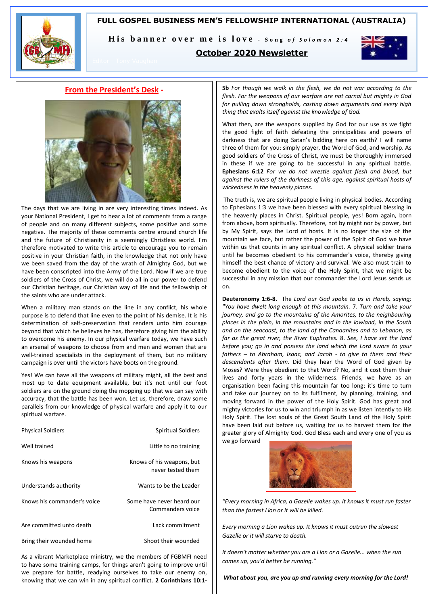#### **FULL GOSPEL BUSINESS MEN'S FELLOWSHIP INTERNATIONAL (AUSTRALIA)**



His banner over me is love - Song of Solomon 2:4

#### **October 2020 Newsletter**



#### **From the President's Desk -**



The days that we are living in are very interesting times indeed. As your National President, I get to hear a lot of comments from a range of people and on many different subjects, some positive and some negative. The majority of these comments centre around church life and the future of Christianity in a seemingly Christless world. I'm therefore motivated to write this article to encourage you to remain positive in your Christian faith, in the knowledge that not only have we been saved from the day of the wrath of Almighty God, but we have been conscripted into the Army of the Lord. Now if we are true soldiers of the Cross of Christ, we will do all in our power to defend our Christian heritage, our Christian way of life and the fellowship of the saints who are under attack.

When a military man stands on the line in any conflict, his whole purpose is to defend that line even to the point of his demise. It is his determination of self-preservation that renders unto him courage beyond that which he believes he has, therefore giving him the ability to overcome his enemy. In our physical warfare today, we have such an arsenal of weapons to choose from and men and women that are well-trained specialists in the deployment of them, but no military campaign is over until the victors have boots on the ground.

Yes! We can have all the weapons of military might, all the best and most up to date equipment available, but it's not until our foot soldiers are on the ground doing the mopping up that we can say with accuracy, that the battle has been won. Let us, therefore, draw some parallels from our knowledge of physical warfare and apply it to our spiritual warfare.

| <b>Physical Soldiers</b>    | <b>Spiritual Soldiers</b>                      |
|-----------------------------|------------------------------------------------|
| Well trained                | Little to no training                          |
| Knows his weapons           | Knows of his weapons, but<br>never tested them |
| Understands authority       | Wants to be the Leader                         |
| Knows his commander's voice | Some have never heard our<br>Commanders voice  |
| Are committed unto death    | Lack commitment                                |
| Bring their wounded home    | Shoot their wounded                            |

As a vibrant Marketplace ministry, we the members of FGBMFI need to have some training camps, for things aren't going to improve until we prepare for battle, readying ourselves to take our enemy on, knowing that we can win in any spiritual conflict. **2 Corinthians 10:1-**

**5b** *For though we walk in the flesh, we do not war according to the flesh. For the weapons of our warfare are not carnal but mighty in God for pulling down strongholds, casting down arguments and every high thing that exalts itself against the knowledge of God.* 

What then, are the weapons supplied by God for our use as we fight the good fight of faith defeating the principalities and powers of darkness that are doing Satan's bidding here on earth? I will name three of them for you: simply prayer, the Word of God, and worship. As good soldiers of the Cross of Christ, we must be thoroughly immersed in these if we are going to be successful in any spiritual battle. **Ephesians 6:12** *For we do not wrestle against flesh and blood, but against the rulers of the darkness of this age, against spiritual hosts of wickedness in the heavenly places.* 

The truth is, we are spiritual people living in physical bodies. According to Ephesians 1:3 we have been blessed with every spiritual blessing in the heavenly places in Christ. Spiritual people, yes! Born again, born from above, born spiritually. Therefore, not by might nor by power, but by My Spirit, says the Lord of hosts. It is no longer the size of the mountain we face, but rather the power of the Spirit of God we have within us that counts in any spiritual conflict. A physical soldier trains until he becomes obedient to his commander's voice, thereby giving himself the best chance of victory and survival. We also must train to become obedient to the voice of the Holy Spirit, that we might be successful in any mission that our commander the Lord Jesus sends us on.

**Deuteronomy 1:6-8.** The *Lord our God spoke to us in Horeb, saying; "You have dwelt long enough at this mountain.* 7. *Turn and take your journey, and go to the mountains of the Amorites, to the neighbouring places in the plain, in the mountains and in the lowland, in the South and on the seacoast, to the land of the Canaanites and to Lebanon, as far as the great river, the River Euphrates.* 8. *See, I have set the land before you; go in and possess the land which the Lord swore to your fathers – to Abraham, Isaac, and Jacob - to give to them and their descendants after them.* Did they hear the Word of God given by Moses? Were they obedient to that Word? No, and it cost them their lives and forty years in the wilderness. Friends, we have as an organisation been facing this mountain far too long; it's time to turn and take our journey on to its fulfilment, by planning, training, and moving forward in the power of the Holy Spirit. God has great and mighty victories for us to win and triumph in as we listen intently to His Holy Spirit. The lost souls of the Great South Land of the Holy Spirit have been laid out before us, waiting for us to harvest them for the greater glory of Almighty God. God Bless each and every one of you as we go forward



*"Every morning in Africa, a Gazelle wakes up. It knows it must run faster than the fastest Lion or it will be killed.* 

*Every morning a Lion wakes up. It knows it must outrun the slowest Gazelle or it will starve to death.* 

*It doesn't matter whether you are a Lion or a Gazelle... when the sun comes up, you'd better be running."* 

*What about you, are you up and running every morning for the Lord!*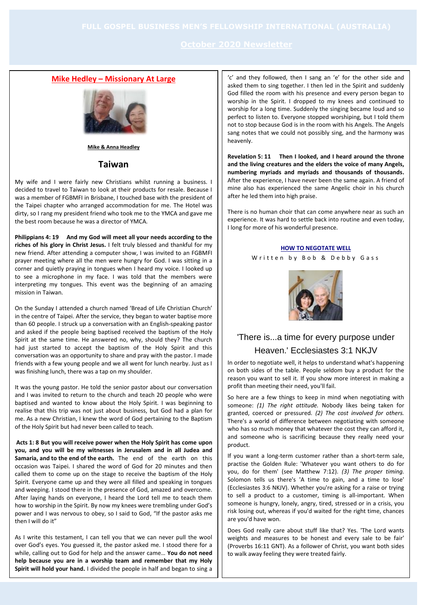#### **Mike Hedley – Missionary At Large**



**Mike & Anna Headley**

**Taiwan**

My wife and I were fairly new Christians whilst running a business. I decided to travel to Taiwan to look at their products for resale. Because I was a member of FGBMFI in Brisbane, I touched base with the president of the Taipei chapter who arranged accommodation for me. The Hotel was dirty, so I rang my president friend who took me to the YMCA and gave me the best room because he was a director of YMCA.

**Philippians 4: 19 And my God will meet all your needs according to the riches of his glory in Christ Jesus.** I felt truly blessed and thankful for my new friend. After attending a computer show, I was invited to an FGBMFI prayer meeting where all the men were hungry for God. I was sitting in a corner and quietly praying in tongues when I heard my voice. I looked up to see a microphone in my face. I was told that the members were interpreting my tongues. This event was the beginning of an amazing mission in Taiwan.

On the Sunday I attended a church named 'Bread of Life Christian Church' in the centre of Taipei. After the service, they began to water baptise more than 60 people. I struck up a conversation with an English-speaking pastor and asked if the people being baptised received the baptism of the Holy Spirit at the same time. He answered no, why, should they? The church had just started to accept the baptism of the Holy Spirit and this conversation was an opportunity to share and pray with the pastor. I made friends with a few young people and we all went for lunch nearby. Just as I was finishing lunch, there was a tap on my shoulder.

It was the young pastor. He told the senior pastor about our conversation and I was invited to return to the church and teach 20 people who were baptised and wanted to know about the Holy Spirit. I was beginning to realise that this trip was not just about business, but God had a plan for me. As a new Christian, I knew the word of God pertaining to the Baptism of the Holy Spirit but had never been called to teach.

**Acts 1: 8 But you will receive power when the Holy Spirit has come upon you, and you will be my witnesses in Jerusalem and in all Judea and Samaria, and to the end of the earth.** The end of the earth on this occasion was Taipei. I shared the word of God for 20 minutes and then called them to come up on the stage to receive the baptism of the Holy Spirit. Everyone came up and they were all filled and speaking in tongues and weeping. I stood there in the presence of God, amazed and overcome. After laying hands on everyone, I heard the Lord tell me to teach them how to worship in the Spirit. By now my knees were trembling under God's power and I was nervous to obey, so I said to God, "If the pastor asks me then I will do it"

As I write this testament, I can tell you that we can never pull the wool over God's eyes. You guessed it, the pastor asked me. I stood there for a while, calling out to God for help and the answer came… **You do not need help because you are in a worship team and remember that my Holy Spirit will hold your hand.** I divided the people in half and began to sing a

'c' and they followed, then I sang an 'e' for the other side and asked them to sing together. I then led in the Spirit and suddenly God filled the room with his presence and every person began to worship in the Spirit. I dropped to my knees and continued to worship for a long time. Suddenly the singing became loud and so perfect to listen to. Everyone stopped worshiping, but I told them not to stop because God is in the room with his Angels. The Angels sang notes that we could not possibly sing, and the harmony was heavenly.

**Revelation 5: 11 Then I looked, and I heard around the throne and the living creatures and the elders the voice of many Angels, numbering myriads and myriads and thousands of thousands.**  After the experience, I have never been the same again. A friend of mine also has experienced the same Angelic choir in his church after he led them into high praise.

There is no human choir that can come anywhere near as such an experience. It was hard to settle back into routine and even today, I long for more of his wonderful presence.

#### **HOW TO NEGOTATE WELL**

Written by Bob & Debby Gass



### 'There is...a time for every purpose under Heaven.' Ecclesiastes 3:1 NKJV

In order to negotiate well, it helps to understand what's happening on both sides of the table. People seldom buy a product for the reason you want to sell it. If you show more interest in making a profit than meeting their need, you'll fail.

So here are a few things to keep in mind when negotiating with someone: *(1) The right attitude.* Nobody likes being taken for granted, coerced or pressured. *(2) The cost involved for others.* There's a world of difference between negotiating with someone who has so much money that whatever the cost they can afford it, and someone who is sacrificing because they really need your product.

If you want a long-term customer rather than a short-term sale, practise the Golden Rule: 'Whatever you want others to do for you, do for them' (see Matthew 7:12). *(3) The proper timing.* Solomon tells us there's 'A time to gain, and a time to lose' (Ecclesiastes 3:6 NKJV). Whether you're asking for a raise or trying to sell a product to a customer, timing is all-important. When someone is hungry, lonely, angry, tired, stressed or in a crisis, you risk losing out, whereas if you'd waited for the right time, chances are you'd have won.

Does God really care about stuff like that? Yes. 'The Lord wants weights and measures to be honest and every sale to be fair' (Proverbs 16:11 GNT). As a follower of Christ, you want both sides to walk away feeling they were treated fairly.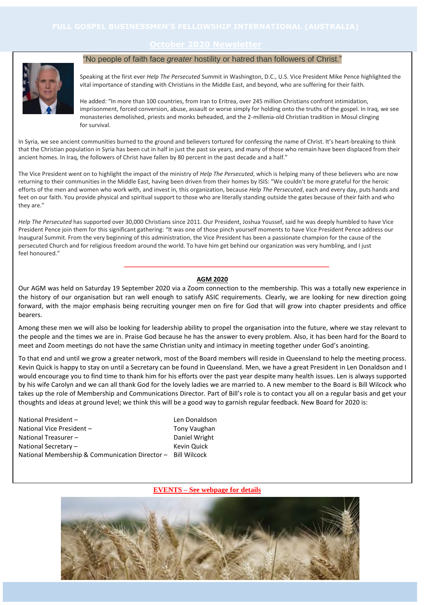#### **October 2020 Newsletter**



#### "No people of faith face *greater* hostility or hatred than followers of Christ."

Speaking at the first ever *Help The Persecuted* Summit in Washington, D.C., U.S. Vice President Mike Pence highlighted the vital importance of standing with Christians in the Middle East, and beyond, who are suffering for their faith.

He added: "In more than 100 countries, from Iran to Eritrea, over 245 million Christians confront intimidation, imprisonment, forced conversion, abuse, assault or worse simply for holding onto the truths of the gospel. In Iraq, we see monasteries demolished, priests and monks beheaded, and the 2-millenia-old Christian tradition in Mosul clinging for survival.

In Syria, we see ancient communities burned to the ground and believers tortured for confessing the name of Christ. It's heart-breaking to think that the Christian population in Syria has been cut in half in just the past six years, and many of those who remain have been displaced from their ancient homes. In Iraq, the followers of Christ have fallen by 80 percent in the past decade and a half."

The Vice President went on to highlight the impact of the ministry of *Help The Persecuted*, which is helping many of these believers who are now returning to their communities in the Middle East, having been driven from their homes by ISIS: "We couldn't be more grateful for the heroic efforts of the men and women who work with, and invest in, this organization, because *Help The Persecuted*, each and every day, puts hands and feet on our faith. You provide physical and spiritual support to those who are literally standing outside the gates because of their faith and who they are."

*Help The Persecuted* has supported over 30,000 Christians since 2011. Our President, Joshua Youssef, said he was deeply humbled to have Vice President Pence join them for this significant gathering: "It was one of those pinch yourself moments to have Vice President Pence address our Inaugural Summit. From the very beginning of this administration, the Vice President has been a passionate champion for the cause of the persecuted Church and for religious freedom around the world. To have him get behind our organization was very humbling, and I just feel honoured."

#### **AGM 2020**

Our AGM was held on Saturday 19 September 2020 via a Zoom connection to the membership. This was a totally new experience in the history of our organisation but ran well enough to satisfy ASIC requirements. Clearly, we are looking for new direction going forward, with the major emphasis being recruiting younger men on fire for God that will grow into chapter presidents and office bearers.

Among these men we will also be looking for leadership ability to propel the organisation into the future, where we stay relevant to the people and the times we are in. Praise God because he has the answer to every problem. Also, it has been hard for the Board to meet and Zoom meetings do not have the same Christian unity and intimacy in meeting together under God's anointing.

To that end and until we grow a greater network, most of the Board members will reside in Queensland to help the meeting process. Kevin Quick is happy to stay on until a Secretary can be found in Queensland. Men, we have a great President in Len Donaldson and I would encourage you to find time to thank him for his efforts over the past year despite many health issues. Len is always supported by his wife Carolyn and we can all thank God for the lovely ladies we are married to. A new member to the Board is Bill Wilcock who takes up the role of Membership and Communications Director. Part of Bill's role is to contact you all on a regular basis and get your thoughts and ideas at ground level; we think this will be a good way to garnish regular feedback. New Board for 2020 is:

National President – Len Donaldson National Vice President – Tony Vaughan National Treasurer – Daniel Wright National Secretary – Kevin Quick National Membership & Communication Director – Bill Wilcock

**EVENTS – See webpage for details**